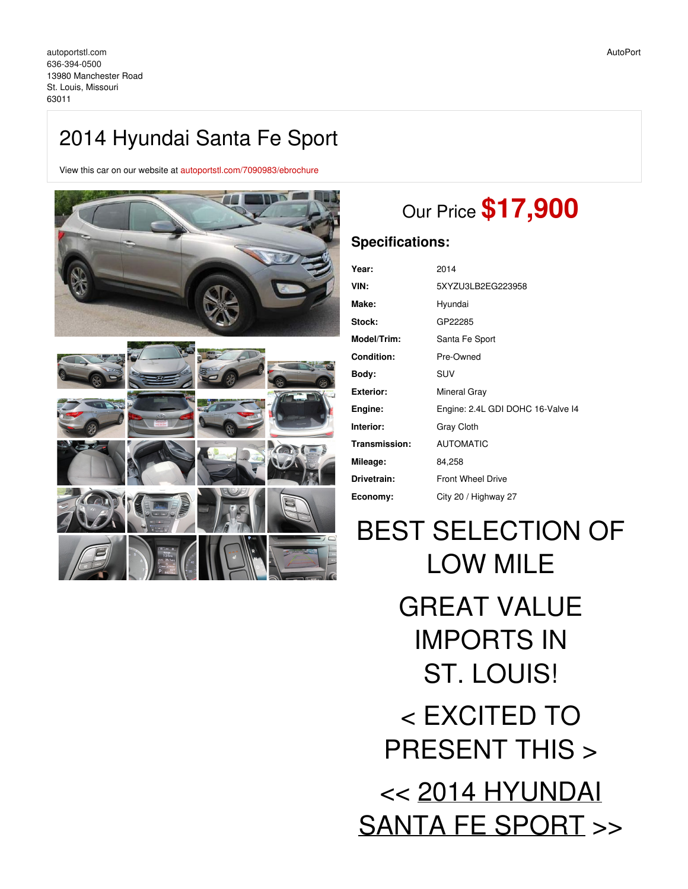## 2014 Hyundai Santa Fe Sport

View this car on our website at [autoportstl.com/7090983/ebrochure](https://autoportstl.com/vehicle/7090983/2014-hyundai-santa-fe-sport-st-louis-missouri-63011/7090983/ebrochure)



# Our Price **\$17,900**

## **Specifications:**

| Year:              | 2014                              |
|--------------------|-----------------------------------|
| VIN:               | 5XYZU3LB2EG223958                 |
| Make:              | Hyundai                           |
| <b>Stock:</b>      | GP22285                           |
| <b>Model/Trim:</b> | Santa Fe Sport                    |
| <b>Condition:</b>  | Pre-Owned                         |
| Body:              | <b>SUV</b>                        |
| Exterior:          | Mineral Gray                      |
| Engine:            | Engine: 2.4L GDI DOHC 16-Valve I4 |
| Interior:          | Gray Cloth                        |
| Transmission:      | <b>AUTOMATIC</b>                  |
| Mileage:           | 84,258                            |
| Drivetrain:        | <b>Front Wheel Drive</b>          |
| Economy:           | City 20 / Highway 27              |
|                    |                                   |

BEST SELECTION OF LOW MILE GREAT VALUE IMPORTS IN ST. LOUIS! < EXCITED TO PRESENT THIS > << 2014 HYUNDAI SANTA FE SPORT >>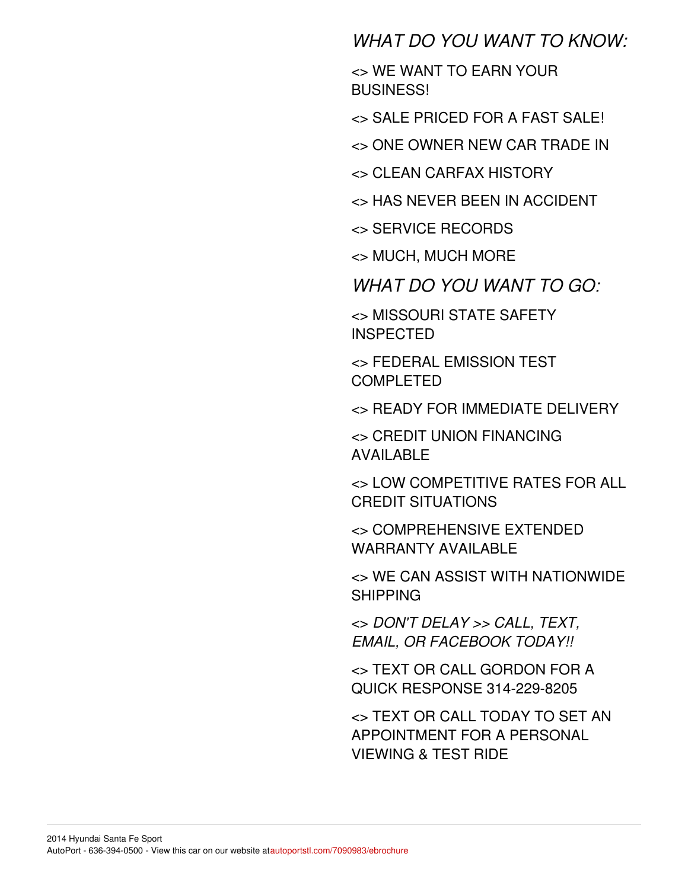## *WHAT DO YOU WANT TO KNOW:*

<> WE WANT TO EARN YOUR BUSINESS!

<> SALE PRICED FOR A FAST SALE!

<> ONE OWNER NEW CAR TRADE IN

<> CLEAN CARFAX HISTORY

<> HAS NEVER BEEN IN ACCIDENT

<> SERVICE RECORDS

<> MUCH, MUCH MORE

*WHAT DO YOU WANT TO GO:*

<> MISSOURI STATE SAFETY INSPECTED

<> FEDERAL EMISSION TEST COMPLETED

<> READY FOR IMMEDIATE DELIVERY

<> CREDIT UNION FINANCING AVAILABLE

<> LOW COMPETITIVE RATES FOR ALL CREDIT SITUATIONS

<> COMPREHENSIVE EXTENDED WARRANTY AVAILABLE

<> WE CAN ASSIST WITH NATIONWIDE SHIPPING

<> *DON'T DELAY >> CALL, TEXT, EMAIL, OR FACEBOOK TODAY!!*

<> TEXT OR CALL GORDON FOR A QUICK RESPONSE 314-229-8205

<> TEXT OR CALL TODAY TO SET AN APPOINTMENT FOR A PERSONAL VIEWING & TEST RIDE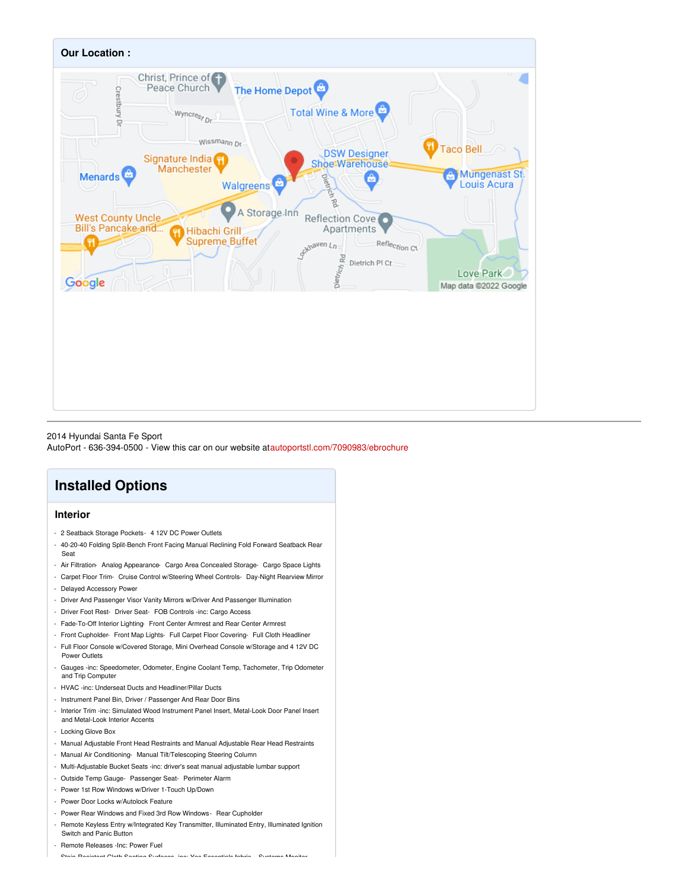

2014 Hyundai Santa Fe Sport

AutoPort - 636-394-0500 - View this car on our website a[tautoportstl.com/7090983/ebrochure](https://autoportstl.com/vehicle/7090983/2014-hyundai-santa-fe-sport-st-louis-missouri-63011/7090983/ebrochure)

## **Installed Options**

### **Interior**

- 2 Seatback Storage Pockets- 4 12V DC Power Outlets
- 40-20-40 Folding Split-Bench Front Facing Manual Reclining Fold Forward Seatback Rear Seat
- Air Filtration- Analog Appearance- Cargo Area Concealed Storage- Cargo Space Lights
- Carpet Floor Trim- Cruise Control w/Steering Wheel Controls- Day-Night Rearview Mirror
- Delayed Accessory Power
- Driver And Passenger Visor Vanity Mirrors w/Driver And Passenger Illumination
- Driver Foot Rest- Driver Seat- FOB Controls -inc: Cargo Access
- Fade-To-Off Interior Lighting- Front Center Armrest and Rear Center Armrest
- Front Cupholder- Front Map Lights- Full Carpet Floor Covering- Full Cloth Headliner
- Full Floor Console w/Covered Storage, Mini Overhead Console w/Storage and 4 12V DC Power Outlets
- Gauges -inc: Speedometer, Odometer, Engine Coolant Temp, Tachometer, Trip Odometer and Trip Computer
- HVAC -inc: Underseat Ducts and Headliner/Pillar Ducts
- Instrument Panel Bin, Driver / Passenger And Rear Door Bins
- Interior Trim -inc: Simulated Wood Instrument Panel Insert, Metal-Look Door Panel Insert and Metal-Look Interior Accents
- Locking Glove Box
- Manual Adjustable Front Head Restraints and Manual Adjustable Rear Head Restraints
- Manual Air Conditioning- Manual Tilt/Telescoping Steering Column
- Multi-Adjustable Bucket Seats -inc: driver's seat manual adjustable lumbar support
- Outside Temp Gauge- Passenger Seat- Perimeter Alarm
- Power 1st Row Windows w/Driver 1-Touch Up/Down
- Power Door Locks w/Autolock Feature
- Power Rear Windows and Fixed 3rd Row Windows- Rear Cupholder
- Remote Keyless Entry w/Integrated Key Transmitter, Illuminated Entry, Illuminated Ignition Switch and Panic Button
- Remote Releases -Inc: Power Fuel
- Stain-Resistant Cloth Seating Surfaces -inc: Yes Essentials fabric Systems Monitor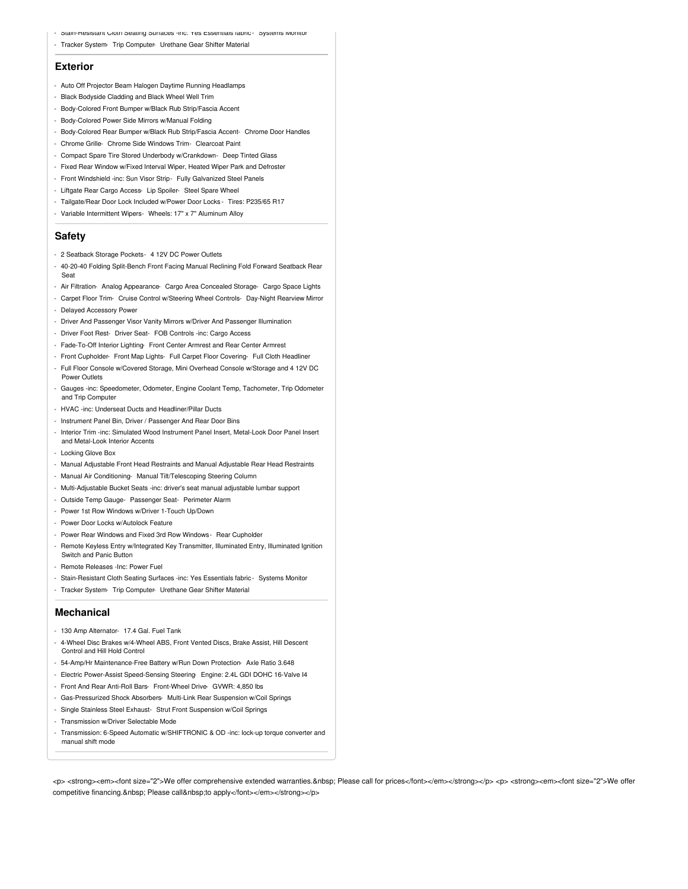- Stain-Resistant Cloth Seating Surfaces -inc: Yes Essentials fabric Systems Monitor
- Tracker System- Trip Computer- Urethane Gear Shifter Material

#### **Exterior**

- Auto Off Projector Beam Halogen Daytime Running Headlamps
- Black Bodyside Cladding and Black Wheel Well Trim
- Body-Colored Front Bumper w/Black Rub Strip/Fascia Accent
- Body-Colored Power Side Mirrors w/Manual Folding
- Body-Colored Rear Bumper w/Black Rub Strip/Fascia Accent- Chrome Door Handles
- Chrome Grille- Chrome Side Windows Trim- Clearcoat Paint
- Compact Spare Tire Stored Underbody w/Crankdown- Deep Tinted Glass
- Fixed Rear Window w/Fixed Interval Wiper, Heated Wiper Park and Defroster
- Front Windshield -inc: Sun Visor Strip- Fully Galvanized Steel Panels
- Liftgate Rear Cargo Access- Lip Spoiler- Steel Spare Wheel
- Tailgate/Rear Door Lock Included w/Power Door Locks Tires: P235/65 R17
- Variable Intermittent Wipers- Wheels: 17" x 7" Aluminum Alloy

### **Safety**

- 2 Seatback Storage Pockets- 4 12V DC Power Outlets
- 40-20-40 Folding Split-Bench Front Facing Manual Reclining Fold Forward Seatback Rear Seat
- Air Filtration- Analog Appearance- Cargo Area Concealed Storage- Cargo Space Lights
- Carpet Floor Trim- Cruise Control w/Steering Wheel Controls- Day-Night Rearview Mirror
- Delayed Accessory Power
- Driver And Passenger Visor Vanity Mirrors w/Driver And Passenger Illumination
- Driver Foot Rest- Driver Seat- FOB Controls -inc: Cargo Access
- Fade-To-Off Interior Lighting- Front Center Armrest and Rear Center Armrest
- Front Cupholder- Front Map Lights- Full Carpet Floor Covering- Full Cloth Headliner
- Full Floor Console w/Covered Storage, Mini Overhead Console w/Storage and 4 12V DC Power Outlets
- Gauges -inc: Speedometer, Odometer, Engine Coolant Temp, Tachometer, Trip Odometer and Trip Computer
- HVAC -inc: Underseat Ducts and Headliner/Pillar Ducts
- Instrument Panel Bin, Driver / Passenger And Rear Door Bins
- Interior Trim -inc: Simulated Wood Instrument Panel Insert, Metal-Look Door Panel Insert and Metal-Look Interior Accents
- Locking Glove Box
- Manual Adjustable Front Head Restraints and Manual Adjustable Rear Head Restraints
- Manual Air Conditioning- Manual Tilt/Telescoping Steering Column
- Multi-Adjustable Bucket Seats -inc: driver's seat manual adjustable lumbar support
- Outside Temp Gauge- Passenger Seat- Perimeter Alarm
- Power 1st Row Windows w/Driver 1-Touch Up/Down
- Power Door Locks w/Autolock Feature
- Power Rear Windows and Fixed 3rd Row Windows- Rear Cupholder
- Remote Keyless Entry w/Integrated Key Transmitter, Illuminated Entry, Illuminated Ignition
- Switch and Panic Button
- Remote Releases -Inc: Power Fuel
- Stain-Resistant Cloth Seating Surfaces -inc: Yes Essentials fabric Systems Monitor
- Tracker System- Trip Computer- Urethane Gear Shifter Material

#### **Mechanical**

- 130 Amp Alternator- 17.4 Gal. Fuel Tank
- 4-Wheel Disc Brakes w/4-Wheel ABS, Front Vented Discs, Brake Assist, Hill Descent Control and Hill Hold Control
- 54-Amp/Hr Maintenance-Free Battery w/Run Down Protection- Axle Ratio 3.648
- Electric Power-Assist Speed-Sensing Steering- Engine: 2.4L GDI DOHC 16-Valve I4
- Front And Rear Anti-Roll Bars- Front-Wheel Drive- GVWR: 4,850 lbs
- Gas-Pressurized Shock Absorbers- Multi-Link Rear Suspension w/Coil Springs
- Single Stainless Steel Exhaust- Strut Front Suspension w/Coil Springs
- Transmission w/Driver Selectable Mode
- Transmission: 6-Speed Automatic w/SHIFTRONIC & OD -inc: lock-up torque converter and manual shift mode

<p> <strong><em><font size="2">We offer comprehensive extended warranties. Please call for prices</font></em></strong></p> <p> <strong><em><font size="2">We offer competitive financing. Please call to apply</font></em></strong></p>